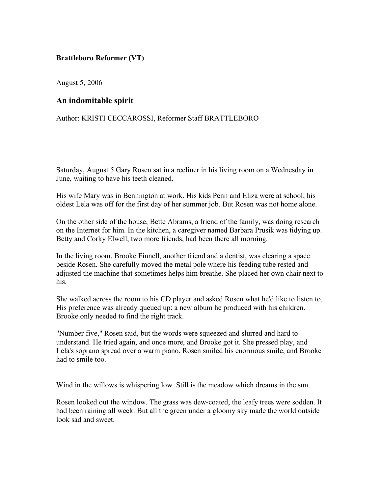## **Brattleboro Reformer (VT)**

August 5, 2006

## **An indomitable spirit**

Author: KRISTI CECCAROSSI, Reformer Staff BRATTLEBORO

Saturday, August 5 Gary Rosen sat in a recliner in his living room on a Wednesday in June, waiting to have his teeth cleaned.

His wife Mary was in Bennington at work. His kids Penn and Eliza were at school; his oldest Lela was off for the first day of her summer job. But Rosen was not home alone.

On the other side of the house, Bette Abrams, a friend of the family, was doing research on the Internet for him. In the kitchen, a caregiver named Barbara Prusik was tidying up. Betty and Corky Elwell, two more friends, had been there all morning.

In the living room, Brooke Finnell, another friend and a dentist, was clearing a space beside Rosen. She carefully moved the metal pole where his feeding tube rested and adjusted the machine that sometimes helps him breathe. She placed her own chair next to his.

She walked across the room to his CD player and asked Rosen what he'd like to listen to. His preference was already queued up: a new album he produced with his children. Brooke only needed to find the right track.

"Number five," Rosen said, but the words were squeezed and slurred and hard to understand. He tried again, and once more, and Brooke got it. She pressed play, and Lela's soprano spread over a warm piano. Rosen smiled his enormous smile, and Brooke had to smile too.

Wind in the willows is whispering low. Still is the meadow which dreams in the sun.

Rosen looked out the window. The grass was dew-coated, the leafy trees were sodden. It had been raining all week. But all the green under a gloomy sky made the world outside look sad and sweet.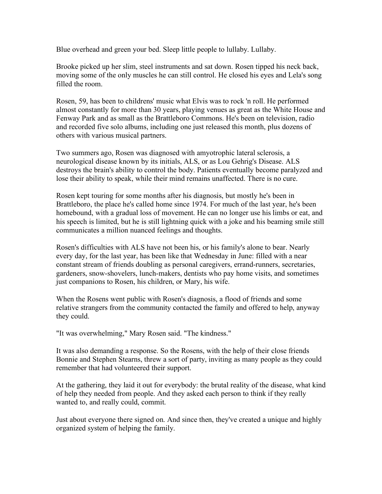Blue overhead and green your bed. Sleep little people to lullaby. Lullaby.

Brooke picked up her slim, steel instruments and sat down. Rosen tipped his neck back, moving some of the only muscles he can still control. He closed his eyes and Lela's song filled the room.

Rosen, 59, has been to childrens' music what Elvis was to rock 'n roll. He performed almost constantly for more than 30 years, playing venues as great as the White House and Fenway Park and as small as the Brattleboro Commons. He's been on television, radio and recorded five solo albums, including one just released this month, plus dozens of others with various musical partners.

Two summers ago, Rosen was diagnosed with amyotrophic lateral sclerosis, a neurological disease known by its initials, ALS, or as Lou Gehrig's Disease. ALS destroys the brain's ability to control the body. Patients eventually become paralyzed and lose their ability to speak, while their mind remains unaffected. There is no cure.

Rosen kept touring for some months after his diagnosis, but mostly he's been in Brattleboro, the place he's called home since 1974. For much of the last year, he's been homebound, with a gradual loss of movement. He can no longer use his limbs or eat, and his speech is limited, but he is still lightning quick with a joke and his beaming smile still communicates a million nuanced feelings and thoughts.

Rosen's difficulties with ALS have not been his, or his family's alone to bear. Nearly every day, for the last year, has been like that Wednesday in June: filled with a near constant stream of friends doubling as personal caregivers, errand-runners, secretaries, gardeners, snow-shovelers, lunch-makers, dentists who pay home visits, and sometimes just companions to Rosen, his children, or Mary, his wife.

When the Rosens went public with Rosen's diagnosis, a flood of friends and some relative strangers from the community contacted the family and offered to help, anyway they could.

"It was overwhelming," Mary Rosen said. "The kindness."

It was also demanding a response. So the Rosens, with the help of their close friends Bonnie and Stephen Stearns, threw a sort of party, inviting as many people as they could remember that had volunteered their support.

At the gathering, they laid it out for everybody: the brutal reality of the disease, what kind of help they needed from people. And they asked each person to think if they really wanted to, and really could, commit.

Just about everyone there signed on. And since then, they've created a unique and highly organized system of helping the family.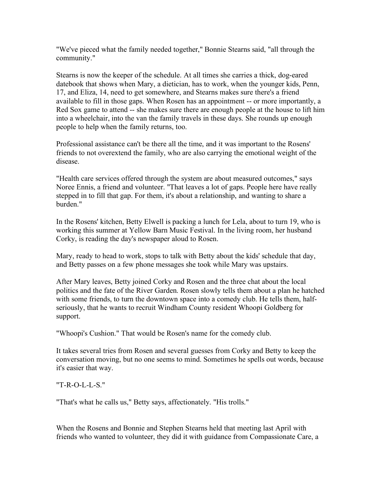"We've pieced what the family needed together," Bonnie Stearns said, "all through the community."

Stearns is now the keeper of the schedule. At all times she carries a thick, dog-eared datebook that shows when Mary, a dietician, has to work, when the younger kids, Penn, 17, and Eliza, 14, need to get somewhere, and Stearns makes sure there's a friend available to fill in those gaps. When Rosen has an appointment -- or more importantly, a Red Sox game to attend -- she makes sure there are enough people at the house to lift him into a wheelchair, into the van the family travels in these days. She rounds up enough people to help when the family returns, too.

Professional assistance can't be there all the time, and it was important to the Rosens' friends to not overextend the family, who are also carrying the emotional weight of the disease.

"Health care services offered through the system are about measured outcomes," says Noree Ennis, a friend and volunteer. "That leaves a lot of gaps. People here have really stepped in to fill that gap. For them, it's about a relationship, and wanting to share a burden."

In the Rosens' kitchen, Betty Elwell is packing a lunch for Lela, about to turn 19, who is working this summer at Yellow Barn Music Festival. In the living room, her husband Corky, is reading the day's newspaper aloud to Rosen.

Mary, ready to head to work, stops to talk with Betty about the kids' schedule that day, and Betty passes on a few phone messages she took while Mary was upstairs.

After Mary leaves, Betty joined Corky and Rosen and the three chat about the local politics and the fate of the River Garden. Rosen slowly tells them about a plan he hatched with some friends, to turn the downtown space into a comedy club. He tells them, halfseriously, that he wants to recruit Windham County resident Whoopi Goldberg for support.

"Whoopi's Cushion." That would be Rosen's name for the comedy club.

It takes several tries from Rosen and several guesses from Corky and Betty to keep the conversation moving, but no one seems to mind. Sometimes he spells out words, because it's easier that way.

"T-R-O-L-L-S."

"That's what he calls us," Betty says, affectionately. "His trolls."

When the Rosens and Bonnie and Stephen Stearns held that meeting last April with friends who wanted to volunteer, they did it with guidance from Compassionate Care, a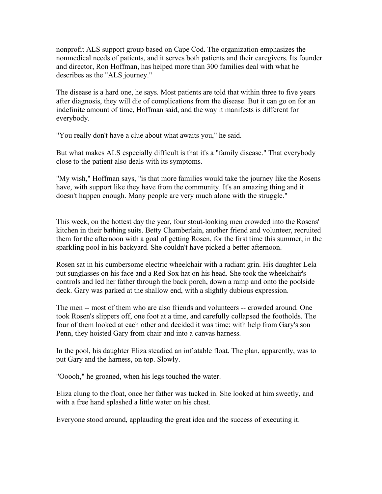nonprofit ALS support group based on Cape Cod. The organization emphasizes the nonmedical needs of patients, and it serves both patients and their caregivers. Its founder and director, Ron Hoffman, has helped more than 300 families deal with what he describes as the "ALS journey."

The disease is a hard one, he says. Most patients are told that within three to five years after diagnosis, they will die of complications from the disease. But it can go on for an indefinite amount of time, Hoffman said, and the way it manifests is different for everybody.

"You really don't have a clue about what awaits you," he said.

But what makes ALS especially difficult is that it's a "family disease." That everybody close to the patient also deals with its symptoms.

"My wish," Hoffman says, "is that more families would take the journey like the Rosens have, with support like they have from the community. It's an amazing thing and it doesn't happen enough. Many people are very much alone with the struggle."

This week, on the hottest day the year, four stout-looking men crowded into the Rosens' kitchen in their bathing suits. Betty Chamberlain, another friend and volunteer, recruited them for the afternoon with a goal of getting Rosen, for the first time this summer, in the sparkling pool in his backyard. She couldn't have picked a better afternoon.

Rosen sat in his cumbersome electric wheelchair with a radiant grin. His daughter Lela put sunglasses on his face and a Red Sox hat on his head. She took the wheelchair's controls and led her father through the back porch, down a ramp and onto the poolside deck. Gary was parked at the shallow end, with a slightly dubious expression.

The men -- most of them who are also friends and volunteers -- crowded around. One took Rosen's slippers off, one foot at a time, and carefully collapsed the footholds. The four of them looked at each other and decided it was time: with help from Gary's son Penn, they hoisted Gary from chair and into a canvas harness.

In the pool, his daughter Eliza steadied an inflatable float. The plan, apparently, was to put Gary and the harness, on top. Slowly.

"Ooooh," he groaned, when his legs touched the water.

Eliza clung to the float, once her father was tucked in. She looked at him sweetly, and with a free hand splashed a little water on his chest.

Everyone stood around, applauding the great idea and the success of executing it.